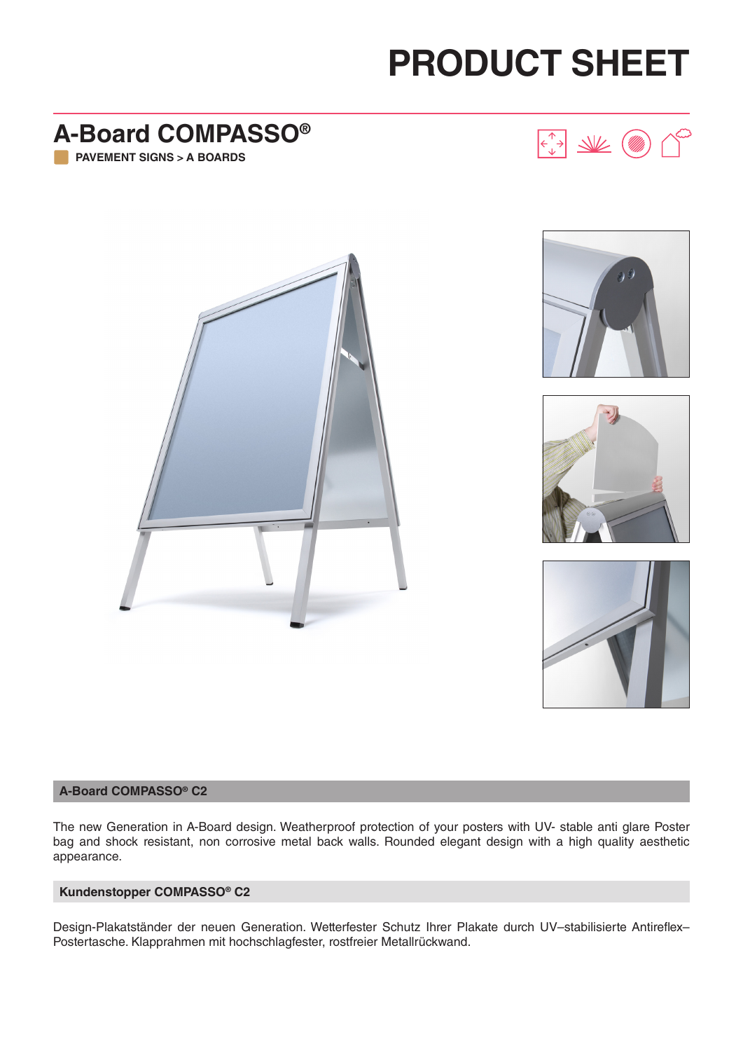# **PRODUCT SHEET**

 $\begin{picture}(120,115) \put(0,0){\line(1,0){150}} \put(15,0){\line(1,0){150}} \put(15,0){\line(1,0){150}} \put(15,0){\line(1,0){150}} \put(15,0){\line(1,0){150}} \put(15,0){\line(1,0){150}} \put(15,0){\line(1,0){150}} \put(15,0){\line(1,0){150}} \put(15,0){\line(1,0){150}} \put(15,0){\line(1,0){150}} \put(15,0){\line(1,0){150$ 

### **A-Board COMPASSO® PAVEMENT SIGNS > A BOARDS**



 $\vee$  (





#### **A-Board COMPASSO® C2**

The new Generation in A-Board design. Weatherproof protection of your posters with UV- stable anti glare Poster bag and shock resistant, non corrosive metal back walls. Rounded elegant design with a high quality aesthetic appearance.

#### **Kundenstopper COMPASSO® C2**

Design-Plakatständer der neuen Generation. Wetterfester Schutz Ihrer Plakate durch UV–stabilisierte Antireflex– Postertasche. Klapprahmen mit hochschlagfester, rostfreier Metallrückwand.

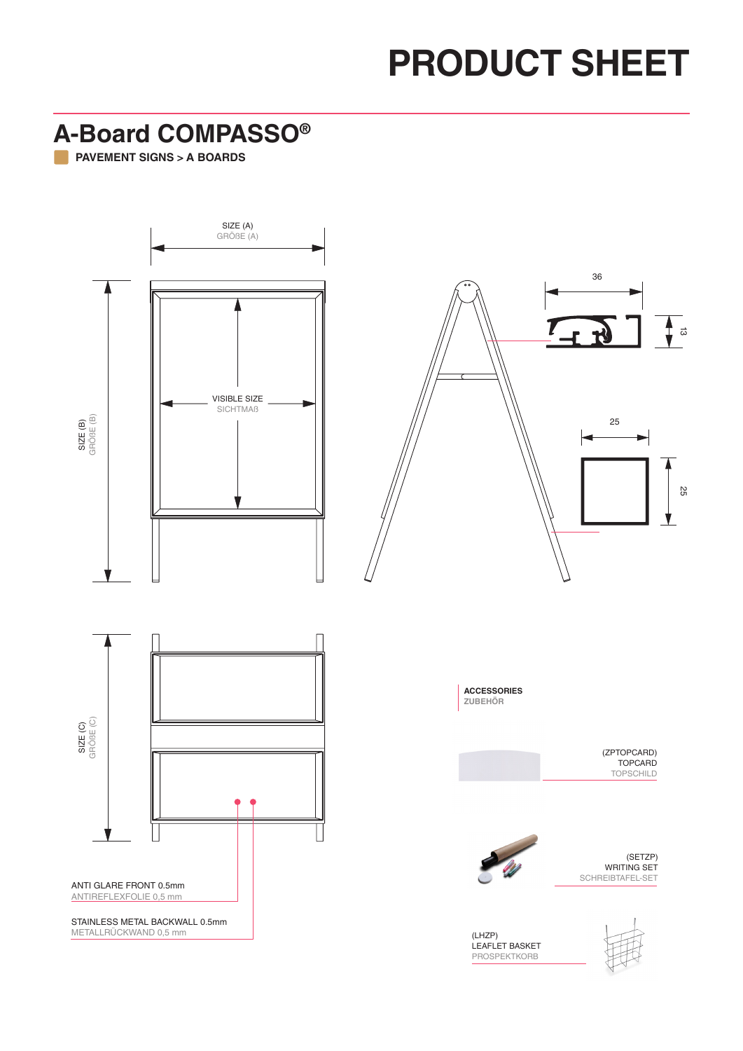## **PRODUCT SHEET**

**A-Board COMPASSO® PAVEMENT SIGNS > A BOARDS**



ANTI GLARE FRONT 0.5mm ANTIREFLEXFOLIE 0,5 mm

STAINLESS METAL BACKWALL 0.5mm METALLRÜCKWAND 0,5 mm

(LHZP) LEAFLET BASKET PROSPEKTKORB